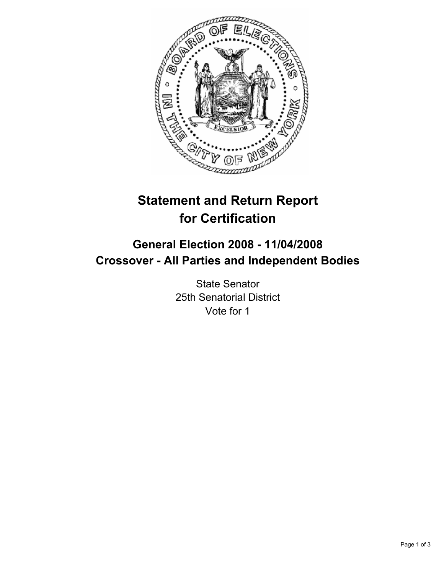

# **Statement and Return Report for Certification**

## **General Election 2008 - 11/04/2008 Crossover - All Parties and Independent Bodies**

State Senator 25th Senatorial District Vote for 1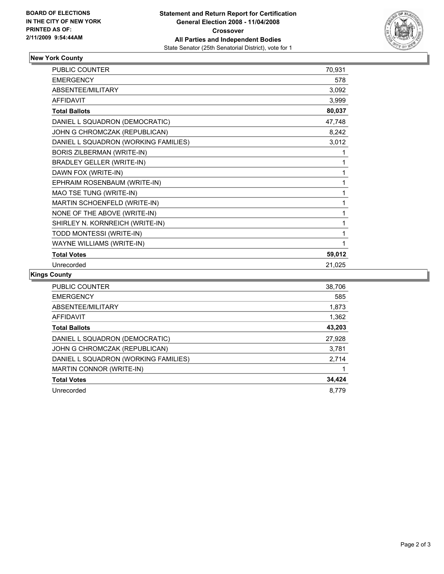

## **New York County**

| <b>PUBLIC COUNTER</b>                | 70,931 |
|--------------------------------------|--------|
| <b>EMERGENCY</b>                     | 578    |
| ABSENTEE/MILITARY                    | 3,092  |
| <b>AFFIDAVIT</b>                     | 3,999  |
| <b>Total Ballots</b>                 | 80,037 |
| DANIEL L SQUADRON (DEMOCRATIC)       | 47,748 |
| JOHN G CHROMCZAK (REPUBLICAN)        | 8,242  |
| DANIEL L SQUADRON (WORKING FAMILIES) | 3,012  |
| <b>BORIS ZILBERMAN (WRITE-IN)</b>    |        |
| <b>BRADLEY GELLER (WRITE-IN)</b>     |        |
| DAWN FOX (WRITE-IN)                  |        |
| EPHRAIM ROSENBAUM (WRITE-IN)         |        |
| MAO TSE TUNG (WRITE-IN)              |        |
| MARTIN SCHOENFELD (WRITE-IN)         |        |
| NONE OF THE ABOVE (WRITE-IN)         |        |
| SHIRLEY N. KORNREICH (WRITE-IN)      |        |
| TODD MONTESSI (WRITE-IN)             |        |
| <b>WAYNE WILLIAMS (WRITE-IN)</b>     |        |
| <b>Total Votes</b>                   | 59,012 |
| Unrecorded                           | 21,025 |

## **Kings County**

| <b>PUBLIC COUNTER</b>                | 38,706 |
|--------------------------------------|--------|
| <b>EMERGENCY</b>                     | 585    |
| ABSENTEE/MILITARY                    | 1,873  |
| AFFIDAVIT                            | 1,362  |
| <b>Total Ballots</b>                 | 43,203 |
| DANIEL L SQUADRON (DEMOCRATIC)       | 27,928 |
| JOHN G CHROMCZAK (REPUBLICAN)        | 3,781  |
| DANIEL L SQUADRON (WORKING FAMILIES) | 2,714  |
| MARTIN CONNOR (WRITE-IN)             |        |
| <b>Total Votes</b>                   | 34,424 |
| Unrecorded                           | 8.779  |
|                                      |        |